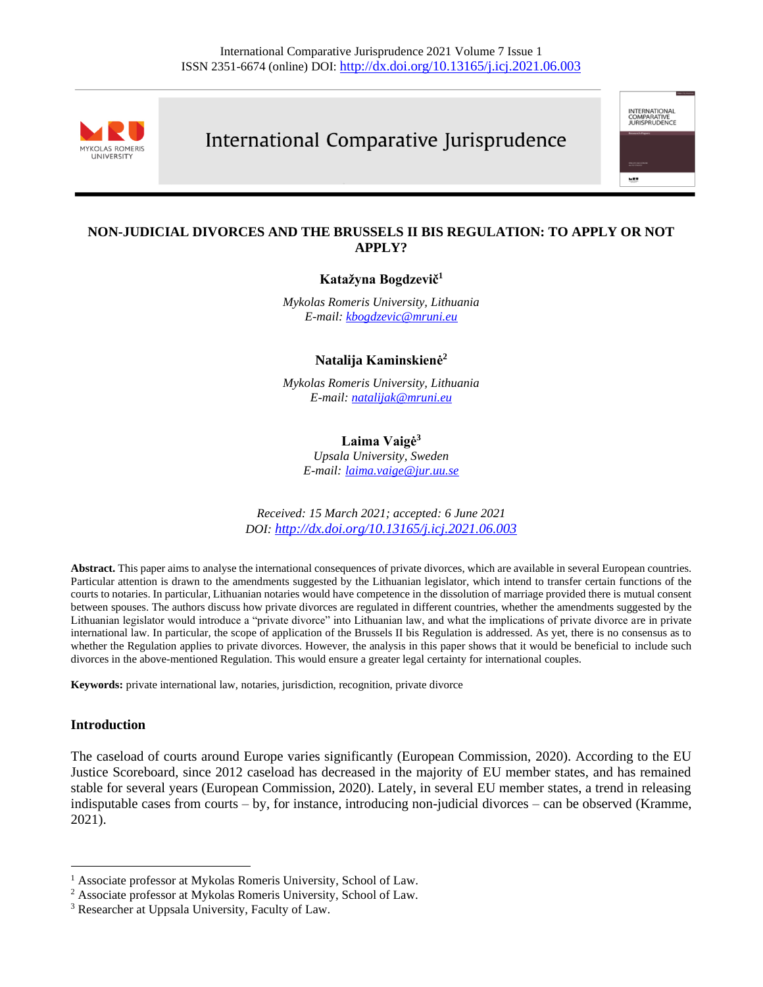

# International Comparative Jurisprudence

INTERNATIONAL<br>COMPARATIVE<br>JURISPRUDENCE

**MET** 

# **NON-JUDICIAL DIVORCES AND THE BRUSSELS II BIS REGULATION: TO APPLY OR NOT APPLY?**

#### **Katažyna Bogdzevič<sup>1</sup>**

*Mykolas Romeris University, Lithuania E-mail: [kbogdzevic@mruni.eu](mailto:kbogdzevic@mruni.eu)*

#### **Natalija Kaminskienė<sup>2</sup>**

*Mykolas Romeris University, Lithuania E-mail: [natalijak@mruni.eu](mailto:natalijak@mruni.eu)*

## **Laima Vaigė<sup>3</sup>**

*Upsala University, Sweden E-mail: [laima.vaige@jur.uu.se](mailto:laima.vaige@jur.uu.se)*

*Received: 15 March 2021; accepted: 6 June 2021 DOI: <http://dx.doi.org/10.13165/j.icj.2021.06.003>*

**Abstract.** This paper aims to analyse the international consequences of private divorces, which are available in several European countries. Particular attention is drawn to the amendments suggested by the Lithuanian legislator, which intend to transfer certain functions of the courts to notaries. In particular, Lithuanian notaries would have competence in the dissolution of marriage provided there is mutual consent between spouses. The authors discuss how private divorces are regulated in different countries, whether the amendments suggested by the Lithuanian legislator would introduce a "private divorce" into Lithuanian law, and what the implications of private divorce are in private international law. In particular, the scope of application of the Brussels II bis Regulation is addressed. As yet, there is no consensus as to whether the Regulation applies to private divorces. However, the analysis in this paper shows that it would be beneficial to include such divorces in the above-mentioned Regulation. This would ensure a greater legal certainty for international couples.

**Keywords:** private international law, notaries, jurisdiction, recognition, private divorce

#### **Introduction**

The caseload of courts around Europe varies significantly (European Commission, 2020). According to the EU Justice Scoreboard, since 2012 caseload has decreased in the majority of EU member states, and has remained stable for several years (European Commission, 2020). Lately, in several EU member states, a trend in releasing indisputable cases from courts – by, for instance, introducing non-judicial divorces – can be observed (Kramme, 2021).

<sup>&</sup>lt;sup>1</sup> Associate professor at Mykolas Romeris University, School of Law.

<sup>2</sup> Associate professor at Mykolas Romeris University, School of Law.

<sup>3</sup> Researcher at Uppsala University, Faculty of Law.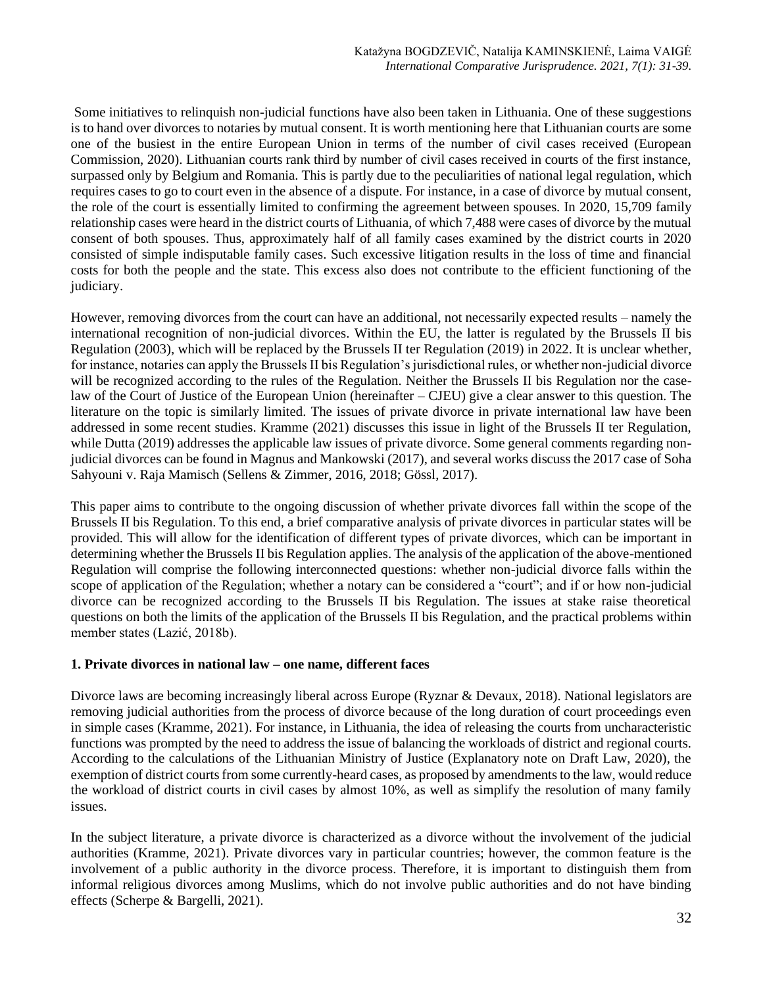Some initiatives to relinquish non-judicial functions have also been taken in Lithuania. One of these suggestions is to hand over divorces to notaries by mutual consent. It is worth mentioning here that Lithuanian courts are some one of the busiest in the entire European Union in terms of the number of civil cases received (European Commission, 2020). Lithuanian courts rank third by number of civil cases received in courts of the first instance, surpassed only by Belgium and Romania. This is partly due to the peculiarities of national legal regulation, which requires cases to go to court even in the absence of a dispute. For instance, in a case of divorce by mutual consent, the role of the court is essentially limited to confirming the agreement between spouses. In 2020, 15,709 family relationship cases were heard in the district courts of Lithuania, of which 7,488 were cases of divorce by the mutual consent of both spouses. Thus, approximately half of all family cases examined by the district courts in 2020 consisted of simple indisputable family cases. Such excessive litigation results in the loss of time and financial costs for both the people and the state. This excess also does not contribute to the efficient functioning of the judiciary.

However, removing divorces from the court can have an additional, not necessarily expected results – namely the international recognition of non-judicial divorces. Within the EU, the latter is regulated by the Brussels II bis Regulation (2003), which will be replaced by the Brussels II ter Regulation (2019) in 2022. It is unclear whether, for instance, notaries can apply the Brussels II bis Regulation's jurisdictional rules, or whether non-judicial divorce will be recognized according to the rules of the Regulation. Neither the Brussels II bis Regulation nor the caselaw of the Court of Justice of the European Union (hereinafter – CJEU) give a clear answer to this question. The literature on the topic is similarly limited. The issues of private divorce in private international law have been addressed in some recent studies. Kramme (2021) discusses this issue in light of the Brussels II ter Regulation, while Dutta (2019) addresses the applicable law issues of private divorce. Some general comments regarding nonjudicial divorces can be found in Magnus and Mankowski (2017), and several works discuss the 2017 case of Soha Sahyouni v. Raja Mamisch (Sellens & Zimmer, 2016, 2018; Gössl, 2017).

This paper aims to contribute to the ongoing discussion of whether private divorces fall within the scope of the Brussels II bis Regulation. To this end, a brief comparative analysis of private divorces in particular states will be provided. This will allow for the identification of different types of private divorces, which can be important in determining whether the Brussels II bis Regulation applies. The analysis of the application of the above-mentioned Regulation will comprise the following interconnected questions: whether non-judicial divorce falls within the scope of application of the Regulation; whether a notary can be considered a "court"; and if or how non-judicial divorce can be recognized according to the Brussels II bis Regulation. The issues at stake raise theoretical questions on both the limits of the application of the Brussels II bis Regulation, and the practical problems within member states (Lazić, 2018b).

# **1. Private divorces in national law – one name, different faces**

Divorce laws are becoming increasingly liberal across Europe (Ryznar & Devaux, 2018). National legislators are removing judicial authorities from the process of divorce because of the long duration of court proceedings even in simple cases (Kramme, 2021). For instance, in Lithuania, the idea of releasing the courts from uncharacteristic functions was prompted by the need to address the issue of balancing the workloads of district and regional courts. According to the calculations of the Lithuanian Ministry of Justice (Explanatory note on Draft Law, 2020), the exemption of district courts from some currently-heard cases, as proposed by amendments to the law, would reduce the workload of district courts in civil cases by almost 10%, as well as simplify the resolution of many family issues.

In the subject literature, a private divorce is characterized as a divorce without the involvement of the judicial authorities (Kramme, 2021). Private divorces vary in particular countries; however, the common feature is the involvement of a public authority in the divorce process. Therefore, it is important to distinguish them from informal religious divorces among Muslims, which do not involve public authorities and do not have binding effects (Scherpe & Bargelli, 2021).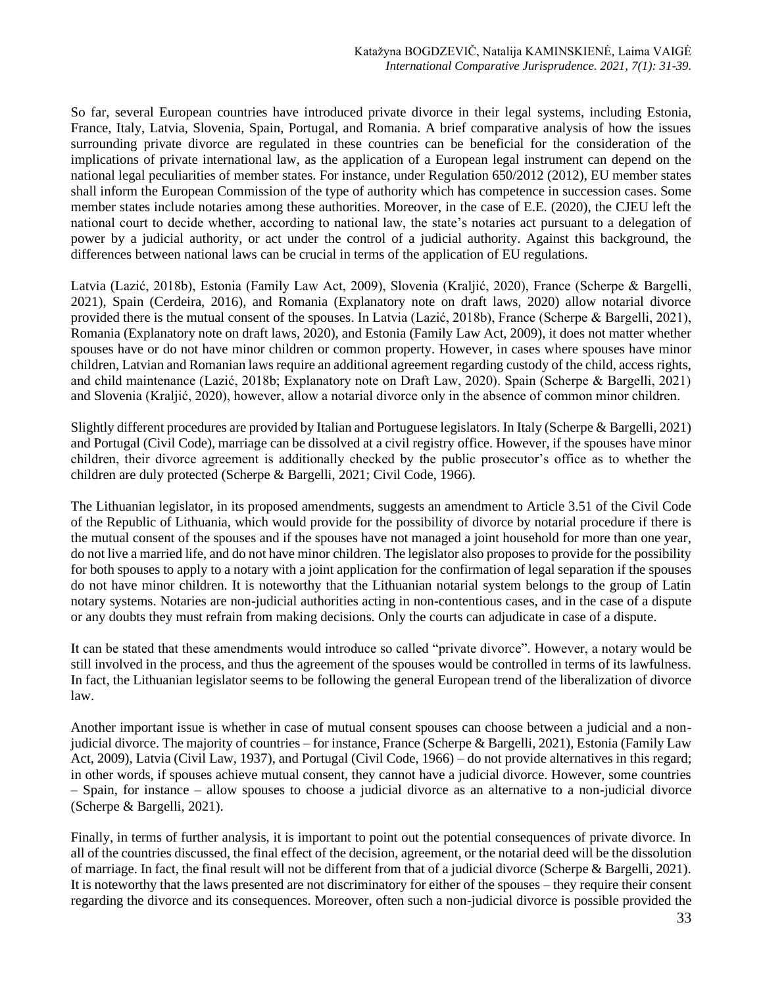So far, several European countries have introduced private divorce in their legal systems, including Estonia, France, Italy, Latvia, Slovenia, Spain, Portugal, and Romania. A brief comparative analysis of how the issues surrounding private divorce are regulated in these countries can be beneficial for the consideration of the implications of private international law, as the application of a European legal instrument can depend on the national legal peculiarities of member states. For instance, under Regulation 650/2012 (2012), EU member states shall inform the European Commission of the type of authority which has competence in succession cases. Some member states include notaries among these authorities. Moreover, in the case of E.E. (2020), the CJEU left the national court to decide whether, according to national law, the state's notaries act pursuant to a delegation of power by a judicial authority, or act under the control of a judicial authority. Against this background, the differences between national laws can be crucial in terms of the application of EU regulations.

Latvia (Lazić, 2018b), Estonia (Family Law Act, 2009), Slovenia (Kraljić, 2020), France (Scherpe & Bargelli, 2021), Spain (Cerdeira, 2016), and Romania (Explanatory note on draft laws, 2020) allow notarial divorce provided there is the mutual consent of the spouses. In Latvia (Lazić, 2018b), France (Scherpe & Bargelli, 2021), Romania (Explanatory note on draft laws, 2020), and Estonia (Family Law Act, 2009), it does not matter whether spouses have or do not have minor children or common property. However, in cases where spouses have minor children, Latvian and Romanian laws require an additional agreement regarding custody of the child, access rights, and child maintenance (Lazić, 2018b; Explanatory note on Draft Law, 2020). Spain (Scherpe & Bargelli, 2021) and Slovenia (Kraljić, 2020), however, allow a notarial divorce only in the absence of common minor children.

Slightly different procedures are provided by Italian and Portuguese legislators. In Italy (Scherpe & Bargelli, 2021) and Portugal (Civil Code), marriage can be dissolved at a civil registry office. However, if the spouses have minor children, their divorce agreement is additionally checked by the public prosecutor's office as to whether the children are duly protected (Scherpe & Bargelli, 2021; Civil Code, 1966).

The Lithuanian legislator, in its proposed amendments, suggests an amendment to Article 3.51 of the Civil Code of the Republic of Lithuania, which would provide for the possibility of divorce by notarial procedure if there is the mutual consent of the spouses and if the spouses have not managed a joint household for more than one year, do not live a married life, and do not have minor children. The legislator also proposes to provide for the possibility for both spouses to apply to a notary with a joint application for the confirmation of legal separation if the spouses do not have minor children. It is noteworthy that the Lithuanian notarial system belongs to the group of Latin notary systems. Notaries are non-judicial authorities acting in non-contentious cases, and in the case of a dispute or any doubts they must refrain from making decisions. Only the courts can adjudicate in case of a dispute.

It can be stated that these amendments would introduce so called "private divorce". However, a notary would be still involved in the process, and thus the agreement of the spouses would be controlled in terms of its lawfulness. In fact, the Lithuanian legislator seems to be following the general European trend of the liberalization of divorce law.

Another important issue is whether in case of mutual consent spouses can choose between a judicial and a nonjudicial divorce. The majority of countries – for instance, France (Scherpe & Bargelli, 2021), Estonia (Family Law Act, 2009), Latvia (Civil Law, 1937), and Portugal (Civil Code, 1966) – do not provide alternatives in this regard; in other words, if spouses achieve mutual consent, they cannot have a judicial divorce. However, some countries – Spain, for instance – allow spouses to choose a judicial divorce as an alternative to a non-judicial divorce (Scherpe & Bargelli, 2021).

Finally, in terms of further analysis, it is important to point out the potential consequences of private divorce. In all of the countries discussed, the final effect of the decision, agreement, or the notarial deed will be the dissolution of marriage. In fact, the final result will not be different from that of a judicial divorce (Scherpe & Bargelli, 2021). It is noteworthy that the laws presented are not discriminatory for either of the spouses – they require their consent regarding the divorce and its consequences. Moreover, often such a non-judicial divorce is possible provided the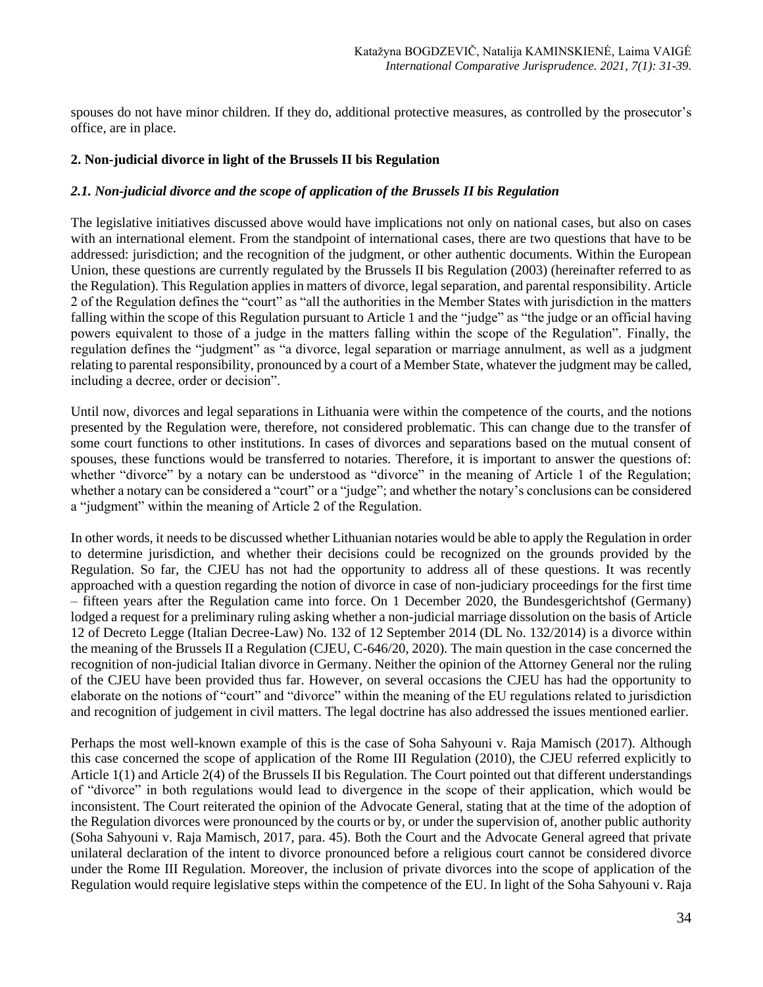spouses do not have minor children. If they do, additional protective measures, as controlled by the prosecutor's office, are in place.

## **2. Non-judicial divorce in light of the Brussels II bis Regulation**

#### *2.1. Non-judicial divorce and the scope of application of the Brussels II bis Regulation*

The legislative initiatives discussed above would have implications not only on national cases, but also on cases with an international element. From the standpoint of international cases, there are two questions that have to be addressed: jurisdiction; and the recognition of the judgment, or other authentic documents. Within the European Union, these questions are currently regulated by the Brussels II bis Regulation (2003) (hereinafter referred to as the Regulation). This Regulation applies in matters of divorce, legal separation, and parental responsibility. Article 2 of the Regulation defines the "court" as "all the authorities in the Member States with jurisdiction in the matters falling within the scope of this Regulation pursuant to Article 1 and the "judge" as "the judge or an official having powers equivalent to those of a judge in the matters falling within the scope of the Regulation". Finally, the regulation defines the "judgment" as "a divorce, legal separation or marriage annulment, as well as a judgment relating to parental responsibility, pronounced by a court of a Member State, whatever the judgment may be called, including a decree, order or decision".

Until now, divorces and legal separations in Lithuania were within the competence of the courts, and the notions presented by the Regulation were, therefore, not considered problematic. This can change due to the transfer of some court functions to other institutions. In cases of divorces and separations based on the mutual consent of spouses, these functions would be transferred to notaries. Therefore, it is important to answer the questions of: whether "divorce" by a notary can be understood as "divorce" in the meaning of Article 1 of the Regulation; whether a notary can be considered a "court" or a "judge"; and whether the notary's conclusions can be considered a "judgment" within the meaning of Article 2 of the Regulation.

In other words, it needs to be discussed whether Lithuanian notaries would be able to apply the Regulation in order to determine jurisdiction, and whether their decisions could be recognized on the grounds provided by the Regulation. So far, the CJEU has not had the opportunity to address all of these questions. It was recently approached with a question regarding the notion of divorce in case of non-judiciary proceedings for the first time – fifteen years after the Regulation came into force. On 1 December 2020, the Bundesgerichtshof (Germany) lodged a request for a preliminary ruling asking whether a non-judicial marriage dissolution on the basis of Article 12 of Decreto Legge (Italian Decree-Law) No. 132 of 12 September 2014 (DL No. 132/2014) is a divorce within the meaning of the Brussels II a Regulation (CJEU, C-646/20, 2020). The main question in the case concerned the recognition of non-judicial Italian divorce in Germany. Neither the opinion of the Attorney General nor the ruling of the CJEU have been provided thus far. However, on several occasions the CJEU has had the opportunity to elaborate on the notions of "court" and "divorce" within the meaning of the EU regulations related to jurisdiction and recognition of judgement in civil matters. The legal doctrine has also addressed the issues mentioned earlier.

Perhaps the most well-known example of this is the case of Soha Sahyouni v. Raja Mamisch (2017). Although this case concerned the scope of application of the Rome III Regulation (2010), the CJEU referred explicitly to Article 1(1) and Article 2(4) of the Brussels II bis Regulation. The Court pointed out that different understandings of "divorce" in both regulations would lead to divergence in the scope of their application, which would be inconsistent. The Court reiterated the opinion of the Advocate General, stating that at the time of the adoption of the Regulation divorces were pronounced by the courts or by, or under the supervision of, another public authority (Soha Sahyouni v. Raja Mamisch, 2017, para. 45). Both the Court and the Advocate General agreed that private unilateral declaration of the intent to divorce pronounced before a religious court cannot be considered divorce under the Rome III Regulation. Moreover, the inclusion of private divorces into the scope of application of the Regulation would require legislative steps within the competence of the EU. In light of the Soha Sahyouni v. Raja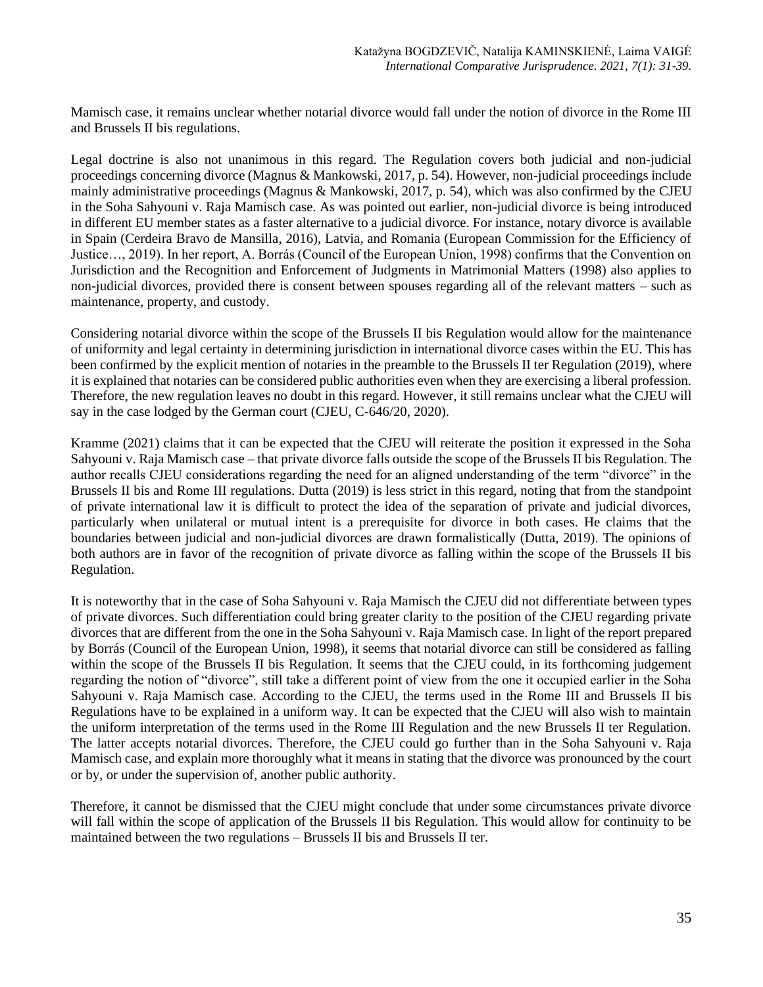Mamisch case, it remains unclear whether notarial divorce would fall under the notion of divorce in the Rome III and Brussels II bis regulations.

Legal doctrine is also not unanimous in this regard. The Regulation covers both judicial and non-judicial proceedings concerning divorce (Magnus & Mankowski, 2017, p. 54). However, non-judicial proceedings include mainly administrative proceedings (Magnus & Mankowski, 2017, p. 54), which was also confirmed by the CJEU in the Soha Sahyouni v. Raja Mamisch case. As was pointed out earlier, non-judicial divorce is being introduced in different EU member states as a faster alternative to a judicial divorce. For instance, notary divorce is available in Spain (Cerdeira Bravo de Mansilla, 2016), Latvia, and Romania (European Commission for the Efficiency of Justice…, 2019). In her report, A. Borrás (Council of the European Union, 1998) confirms that the Convention on Jurisdiction and the Recognition and Enforcement of Judgments in Matrimonial Matters (1998) also applies to non-judicial divorces, provided there is consent between spouses regarding all of the relevant matters – such as maintenance, property, and custody.

Considering notarial divorce within the scope of the Brussels II bis Regulation would allow for the maintenance of uniformity and legal certainty in determining jurisdiction in international divorce cases within the EU. This has been confirmed by the explicit mention of notaries in the preamble to the Brussels II ter Regulation (2019), where it is explained that notaries can be considered public authorities even when they are exercising a liberal profession. Therefore, the new regulation leaves no doubt in this regard. However, it still remains unclear what the CJEU will say in the case lodged by the German court (CJEU, C-646/20, 2020).

Kramme (2021) claims that it can be expected that the CJEU will reiterate the position it expressed in the Soha Sahyouni v. Raja Mamisch case – that private divorce falls outside the scope of the Brussels II bis Regulation. The author recalls CJEU considerations regarding the need for an aligned understanding of the term "divorce" in the Brussels II bis and Rome III regulations. Dutta (2019) is less strict in this regard, noting that from the standpoint of private international law it is difficult to protect the idea of the separation of private and judicial divorces, particularly when unilateral or mutual intent is a prerequisite for divorce in both cases. He claims that the boundaries between judicial and non-judicial divorces are drawn formalistically (Dutta, 2019). The opinions of both authors are in favor of the recognition of private divorce as falling within the scope of the Brussels II bis Regulation.

It is noteworthy that in the case of Soha Sahyouni v. Raja Mamisch the CJEU did not differentiate between types of private divorces. Such differentiation could bring greater clarity to the position of the CJEU regarding private divorces that are different from the one in the Soha Sahyouni v. Raja Mamisch case. In light of the report prepared by Borrás (Council of the European Union, 1998), it seems that notarial divorce can still be considered as falling within the scope of the Brussels II bis Regulation. It seems that the CJEU could, in its forthcoming judgement regarding the notion of "divorce", still take a different point of view from the one it occupied earlier in the Soha Sahyouni v. Raja Mamisch case. According to the CJEU, the terms used in the Rome III and Brussels II bis Regulations have to be explained in a uniform way. It can be expected that the CJEU will also wish to maintain the uniform interpretation of the terms used in the Rome III Regulation and the new Brussels II ter Regulation. The latter accepts notarial divorces. Therefore, the CJEU could go further than in the Soha Sahyouni v. Raja Mamisch case, and explain more thoroughly what it means in stating that the divorce was pronounced by the court or by, or under the supervision of, another public authority.

Therefore, it cannot be dismissed that the CJEU might conclude that under some circumstances private divorce will fall within the scope of application of the Brussels II bis Regulation. This would allow for continuity to be maintained between the two regulations – Brussels II bis and Brussels II ter.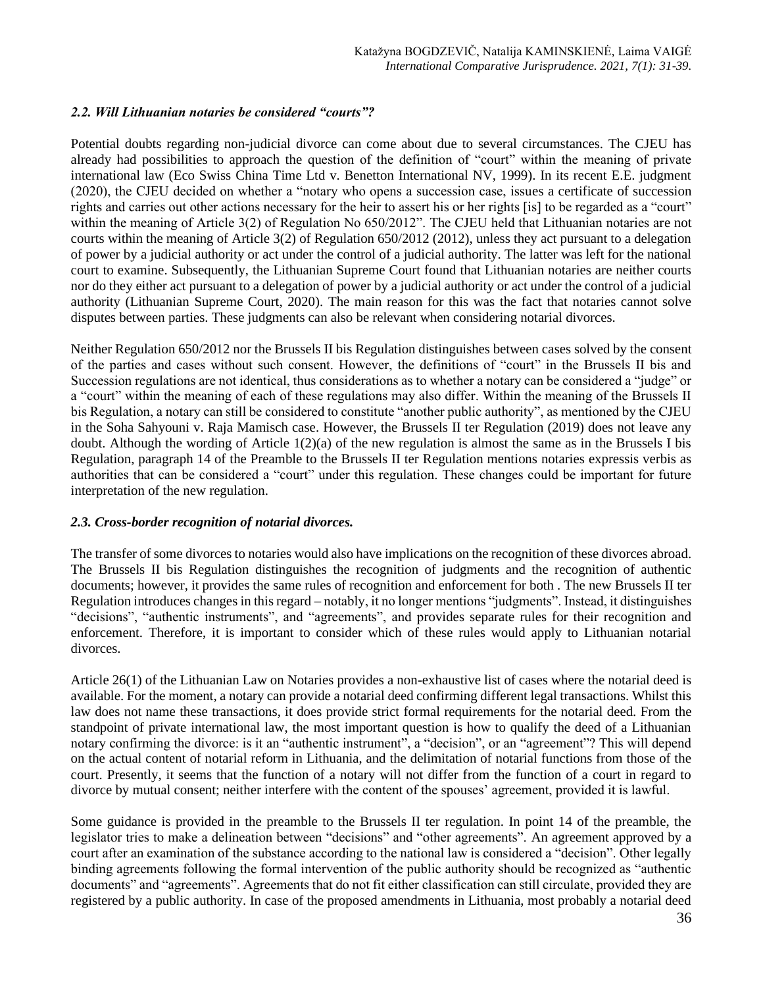# *2.2. Will Lithuanian notaries be considered "courts"?*

Potential doubts regarding non-judicial divorce can come about due to several circumstances. The CJEU has already had possibilities to approach the question of the definition of "court" within the meaning of private international law (Eco Swiss China Time Ltd v. Benetton International NV, 1999). In its recent E.E. judgment (2020), the CJEU decided on whether a "notary who opens a succession case, issues a certificate of succession rights and carries out other actions necessary for the heir to assert his or her rights [is] to be regarded as a "court" within the meaning of Article 3(2) of Regulation No 650/2012". The CJEU held that Lithuanian notaries are not courts within the meaning of Article 3(2) of Regulation 650/2012 (2012), unless they act pursuant to a delegation of power by a judicial authority or act under the control of a judicial authority. The latter was left for the national court to examine. Subsequently, the Lithuanian Supreme Court found that Lithuanian notaries are neither courts nor do they either act pursuant to a delegation of power by a judicial authority or act under the control of a judicial authority (Lithuanian Supreme Court, 2020). The main reason for this was the fact that notaries cannot solve disputes between parties. These judgments can also be relevant when considering notarial divorces.

Neither Regulation 650/2012 nor the Brussels II bis Regulation distinguishes between cases solved by the consent of the parties and cases without such consent. However, the definitions of "court" in the Brussels II bis and Succession regulations are not identical, thus considerations as to whether a notary can be considered a "judge" or a "court" within the meaning of each of these regulations may also differ. Within the meaning of the Brussels II bis Regulation, a notary can still be considered to constitute "another public authority", as mentioned by the CJEU in the Soha Sahyouni v. Raja Mamisch case. However, the Brussels II ter Regulation (2019) does not leave any doubt. Although the wording of Article 1(2)(a) of the new regulation is almost the same as in the Brussels I bis Regulation, paragraph 14 of the Preamble to the Brussels II ter Regulation mentions notaries expressis verbis as authorities that can be considered a "court" under this regulation. These changes could be important for future interpretation of the new regulation.

# *2.3. Cross-border recognition of notarial divorces.*

The transfer of some divorces to notaries would also have implications on the recognition of these divorces abroad. The Brussels II bis Regulation distinguishes the recognition of judgments and the recognition of authentic documents; however, it provides the same rules of recognition and enforcement for both . The new Brussels II ter Regulation introduces changes in this regard – notably, it no longer mentions "judgments". Instead, it distinguishes "decisions", "authentic instruments", and "agreements", and provides separate rules for their recognition and enforcement. Therefore, it is important to consider which of these rules would apply to Lithuanian notarial divorces.

Article 26(1) of the Lithuanian Law on Notaries provides a non-exhaustive list of cases where the notarial deed is available. For the moment, a notary can provide a notarial deed confirming different legal transactions. Whilst this law does not name these transactions, it does provide strict formal requirements for the notarial deed. From the standpoint of private international law, the most important question is how to qualify the deed of a Lithuanian notary confirming the divorce: is it an "authentic instrument", a "decision", or an "agreement"? This will depend on the actual content of notarial reform in Lithuania, and the delimitation of notarial functions from those of the court. Presently, it seems that the function of a notary will not differ from the function of a court in regard to divorce by mutual consent; neither interfere with the content of the spouses' agreement, provided it is lawful.

Some guidance is provided in the preamble to the Brussels II ter regulation. In point 14 of the preamble, the legislator tries to make a delineation between "decisions" and "other agreements". An agreement approved by a court after an examination of the substance according to the national law is considered a "decision". Other legally binding agreements following the formal intervention of the public authority should be recognized as "authentic documents" and "agreements". Agreements that do not fit either classification can still circulate, provided they are registered by a public authority. In case of the proposed amendments in Lithuania, most probably a notarial deed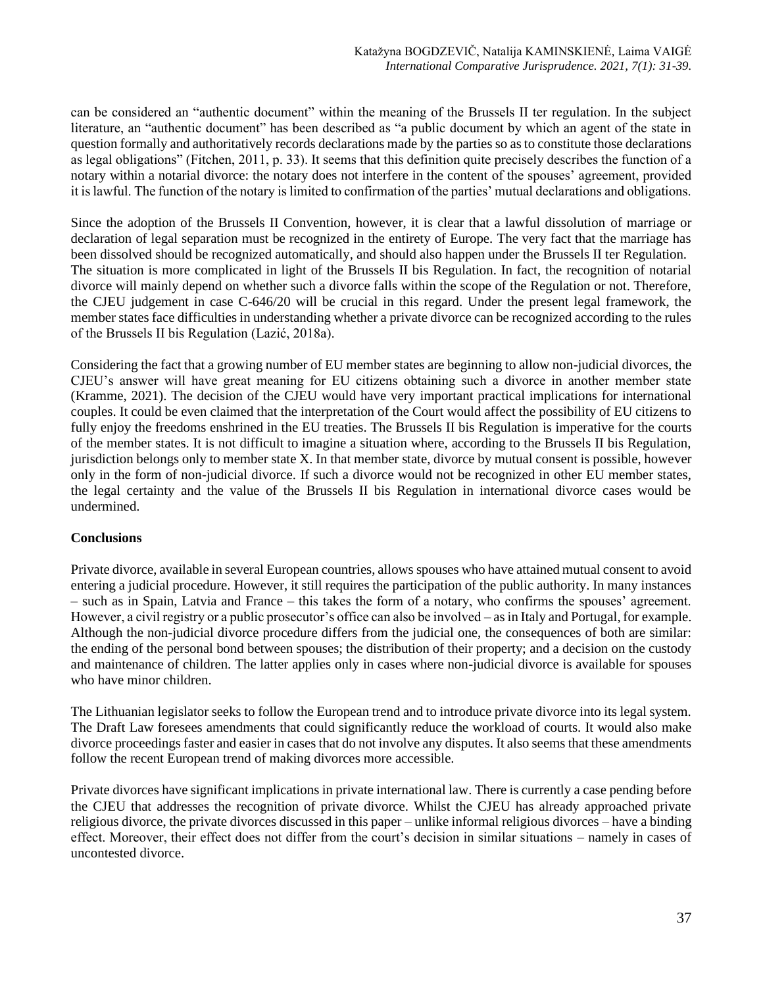can be considered an "authentic document" within the meaning of the Brussels II ter regulation. In the subject literature, an "authentic document" has been described as "a public document by which an agent of the state in question formally and authoritatively records declarations made by the parties so as to constitute those declarations as legal obligations" (Fitchen, 2011, p. 33). It seems that this definition quite precisely describes the function of a notary within a notarial divorce: the notary does not interfere in the content of the spouses' agreement, provided it is lawful. The function of the notary is limited to confirmation of the parties' mutual declarations and obligations.

Since the adoption of the Brussels II Convention, however, it is clear that a lawful dissolution of marriage or declaration of legal separation must be recognized in the entirety of Europe. The very fact that the marriage has been dissolved should be recognized automatically, and should also happen under the Brussels II ter Regulation. The situation is more complicated in light of the Brussels II bis Regulation. In fact, the recognition of notarial divorce will mainly depend on whether such a divorce falls within the scope of the Regulation or not. Therefore, the CJEU judgement in case C-646/20 will be crucial in this regard. Under the present legal framework, the member states face difficulties in understanding whether a private divorce can be recognized according to the rules of the Brussels II bis Regulation (Lazić, 2018a).

Considering the fact that a growing number of EU member states are beginning to allow non-judicial divorces, the CJEU's answer will have great meaning for EU citizens obtaining such a divorce in another member state (Kramme, 2021). The decision of the CJEU would have very important practical implications for international couples. It could be even claimed that the interpretation of the Court would affect the possibility of EU citizens to fully enjoy the freedoms enshrined in the EU treaties. The Brussels II bis Regulation is imperative for the courts of the member states. It is not difficult to imagine a situation where, according to the Brussels II bis Regulation, jurisdiction belongs only to member state X. In that member state, divorce by mutual consent is possible, however only in the form of non-judicial divorce. If such a divorce would not be recognized in other EU member states, the legal certainty and the value of the Brussels II bis Regulation in international divorce cases would be undermined.

# **Conclusions**

Private divorce, available in several European countries, allows spouses who have attained mutual consent to avoid entering a judicial procedure. However, it still requires the participation of the public authority. In many instances – such as in Spain, Latvia and France – this takes the form of a notary, who confirms the spouses' agreement. However, a civil registry or a public prosecutor's office can also be involved – as in Italy and Portugal, for example. Although the non-judicial divorce procedure differs from the judicial one, the consequences of both are similar: the ending of the personal bond between spouses; the distribution of their property; and a decision on the custody and maintenance of children. The latter applies only in cases where non-judicial divorce is available for spouses who have minor children.

The Lithuanian legislator seeks to follow the European trend and to introduce private divorce into its legal system. The Draft Law foresees amendments that could significantly reduce the workload of courts. It would also make divorce proceedings faster and easier in cases that do not involve any disputes. It also seems that these amendments follow the recent European trend of making divorces more accessible.

Private divorces have significant implications in private international law. There is currently a case pending before the CJEU that addresses the recognition of private divorce. Whilst the CJEU has already approached private religious divorce, the private divorces discussed in this paper – unlike informal religious divorces – have a binding effect. Moreover, their effect does not differ from the court's decision in similar situations – namely in cases of uncontested divorce.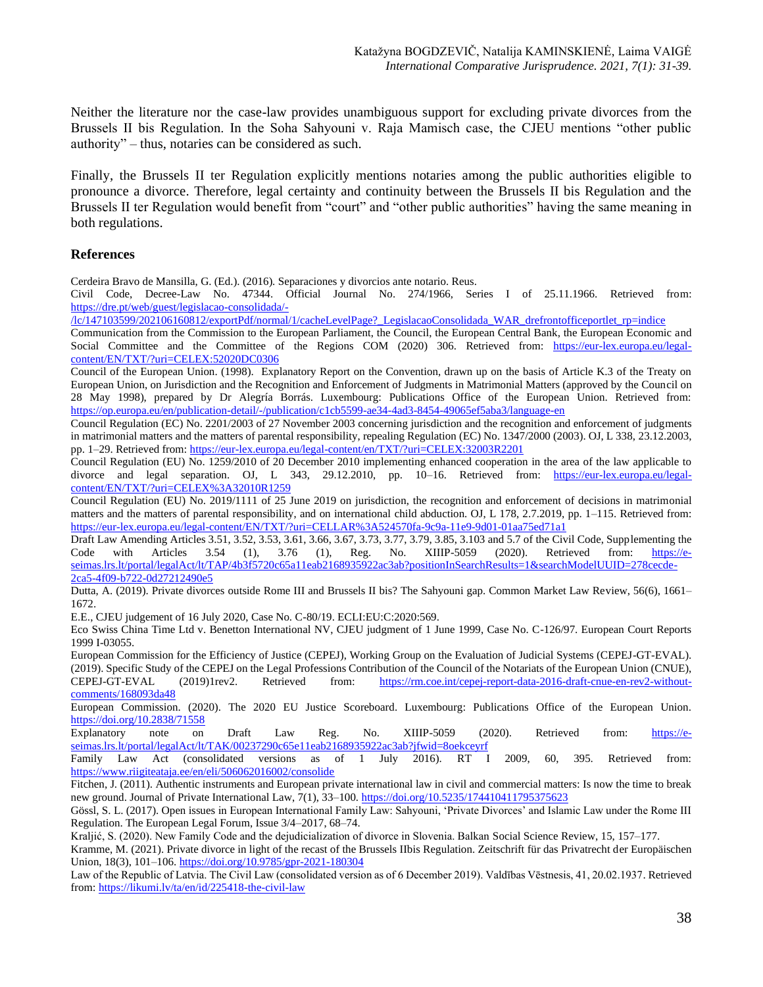Neither the literature nor the case-law provides unambiguous support for excluding private divorces from the Brussels II bis Regulation. In the Soha Sahyouni v. Raja Mamisch case, the CJEU mentions "other public authority" – thus, notaries can be considered as such.

Finally, the Brussels II ter Regulation explicitly mentions notaries among the public authorities eligible to pronounce a divorce. Therefore, legal certainty and continuity between the Brussels II bis Regulation and the Brussels II ter Regulation would benefit from "court" and "other public authorities" having the same meaning in both regulations.

### **References**

Cerdeira Bravo de Mansilla, G. (Ed.). (2016). Separaciones y divorcios ante notario. Reus.

Civil Code, Decree-Law No. 47344. Official Journal No. 274/1966, Series I of 25.11.1966. Retrieved from: [https://dre.pt/web/guest/legislacao-consolidada/-](https://dre.pt/web/guest/legislacao-consolidada/-/lc/147103599/202106160812/exportPdf/normal/1/cacheLevelPage?_LegislacaoConsolidada_WAR_drefrontofficeportlet_rp=indice)

[/lc/147103599/202106160812/exportPdf/normal/1/cacheLevelPage?\\_LegislacaoConsolidada\\_WAR\\_drefrontofficeportlet\\_rp=indice](https://dre.pt/web/guest/legislacao-consolidada/-/lc/147103599/202106160812/exportPdf/normal/1/cacheLevelPage?_LegislacaoConsolidada_WAR_drefrontofficeportlet_rp=indice) 

Communication from the Commission to the European Parliament, the Council, the European Central Bank, the European Economic and Social Committee and the Committee of the Regions COM (2020) 306. Retrieved from: [https://eur-lex.europa.eu/legal](https://eur-lex.europa.eu/legal-content/EN/TXT/?uri=CELEX:52020DC0306)[content/EN/TXT/?uri=CELEX:52020DC0306](https://eur-lex.europa.eu/legal-content/EN/TXT/?uri=CELEX:52020DC0306)

Council of the European Union. (1998). Explanatory Report on the Convention, drawn up on the basis of Article K.3 of the Treaty on European Union, on Jurisdiction and the Recognition and Enforcement of Judgments in Matrimonial Matters (approved by the Council on 28 May 1998), prepared by Dr Alegría Borrás. Luxembourg: Publications Office of the European Union. Retrieved from: <https://op.europa.eu/en/publication-detail/-/publication/c1cb5599-ae34-4ad3-8454-49065ef5aba3/language-en>

Council Regulation (EC) No. 2201/2003 of 27 November 2003 concerning jurisdiction and the recognition and enforcement of judgments in matrimonial matters and the matters of parental responsibility, repealing Regulation (EC) No. 1347/2000 (2003). OJ, L 338, 23.12.2003, pp. 1–29. Retrieved from[: https://eur-lex.europa.eu/legal-content/en/TXT/?uri=CELEX:32003R2201](https://eur-lex.europa.eu/legal-content/en/TXT/?uri=CELEX:32003R2201)

Council Regulation (EU) No. 1259/2010 of 20 December 2010 implementing enhanced cooperation in the area of the law applicable to divorce and legal separation. OJ, L 343, 29.12.2010, pp. 10-16. Retrieved from: [https://eur-lex.europa.eu/legal](https://eur-lex.europa.eu/legal-content/EN/TXT/?uri=CELEX%3A32010R1259)[content/EN/TXT/?uri=CELEX%3A32010R1259](https://eur-lex.europa.eu/legal-content/EN/TXT/?uri=CELEX%3A32010R1259) 

Council Regulation (EU) No. 2019/1111 of 25 June 2019 on jurisdiction, the recognition and enforcement of decisions in matrimonial matters and the matters of parental responsibility, and on international child abduction. OJ, L 178, 2.7.2019, pp. 1-115. Retrieved from: <https://eur-lex.europa.eu/legal-content/EN/TXT/?uri=CELLAR%3A524570fa-9c9a-11e9-9d01-01aa75ed71a1>

Draft Law Amending Articles 3.51, 3.52, 3.53, 3.61, 3.66, 3.67, 3.73, 3.77, 3.79, 3.85, 3.103 and 5.7 of the Civil Code, Supplementing the Code with Articles 3.54 (1), 3.76 (1), Reg. No. XIIIP-5059 (2020). Retrieved from: [https://e](https://e-seimas.lrs.lt/portal/legalAct/lt/TAP/4b3f5720c65a11eab2168935922ac3ab?positionInSearchResults=1&searchModelUUID=278cecde-2ca5-4f09-b722-0d27212490e5)[seimas.lrs.lt/portal/legalAct/lt/TAP/4b3f5720c65a11eab2168935922ac3ab?positionInSearchResults=1&searchModelUUID=278cecde-](https://e-seimas.lrs.lt/portal/legalAct/lt/TAP/4b3f5720c65a11eab2168935922ac3ab?positionInSearchResults=1&searchModelUUID=278cecde-2ca5-4f09-b722-0d27212490e5)[2ca5-4f09-b722-0d27212490e5](https://e-seimas.lrs.lt/portal/legalAct/lt/TAP/4b3f5720c65a11eab2168935922ac3ab?positionInSearchResults=1&searchModelUUID=278cecde-2ca5-4f09-b722-0d27212490e5)

Dutta, A. (2019). Private divorces outside Rome III and Brussels II bis? The Sahyouni gap. Common Market Law Review, 56(6), 1661– 1672.

E.E., CJEU judgement of 16 July 2020, Case No. C-80/19. ECLI:EU:C:2020:569.

Eco Swiss China Time Ltd v. Benetton International NV, CJEU judgment of 1 June 1999, Case No. C-126/97. European Court Reports 1999 I-03055.

European Commission for the Efficiency of Justice (CEPEJ), Working Group on the Evaluation of Judicial Systems (CEPEJ-GT-EVAL). (2019). Specific Study of the CEPEJ on the Legal Professions Contribution of the Council of the Notariats of the European Union (CNUE), CEPEJ-GT-EVAL (2019)1rev2. Retrieved from: [https://rm.coe.int/cepej-report-data-2016-draft-cnue-en-rev2-without](https://rm.coe.int/cepej-report-data-2016-draft-cnue-en-rev2-without-comments/168093da48)[comments/168093da48](https://rm.coe.int/cepej-report-data-2016-draft-cnue-en-rev2-without-comments/168093da48)

European Commission. (2020). The 2020 EU Justice Scoreboard. Luxembourg: Publications Office of the European Union. <https://doi.org/10.2838/71558>

Explanatory note on Draft Law Reg. No. XIIIP-5059 (2020). Retrieved from: [https://e](https://e-seimas.lrs.lt/portal/legalAct/lt/TAK/00237290c65e11eab2168935922ac3ab?jfwid=8oekceyrf)[seimas.lrs.lt/portal/legalAct/lt/TAK/00237290c65e11eab2168935922ac3ab?jfwid=8oekceyrf](https://e-seimas.lrs.lt/portal/legalAct/lt/TAK/00237290c65e11eab2168935922ac3ab?jfwid=8oekceyrf)

Family Law Act (consolidated versions as of 1 July 2016). RT I 2009, 60, 395. Retrieved from: <https://www.riigiteataja.ee/en/eli/506062016002/consolide>

Fitchen, J. (2011). Authentic instruments and European private international law in civil and commercial matters: Is now the time to break new ground. Journal of Private International Law, 7(1), 33–100.<https://doi.org/10.5235/174410411795375623>

Gössl, S. L. (2017). Open issues in European International Family Law: Sahyouni, 'Private Divorces' and Islamic Law under the Rome III Regulation. The European Legal Forum, Issue 3/4–2017, 68–74.

Kraljić, S. (2020). New Family Code and the dejudicialization of divorce in Slovenia. Balkan Social Science Review, 15, 157–177.

Kramme, M. (2021). Private divorce in light of the recast of the Brussels IIbis Regulation. Zeitschrift für das Privatrecht der Europäischen Union, 18(3), 101–106.<https://doi.org/10.9785/gpr-2021-180304>

Law of the Republic of Latvia. The Civil Law (consolidated version as of 6 December 2019). Valdības Vēstnesis, 41, 20.02.1937. Retrieved from:<https://likumi.lv/ta/en/id/225418-the-civil-law>